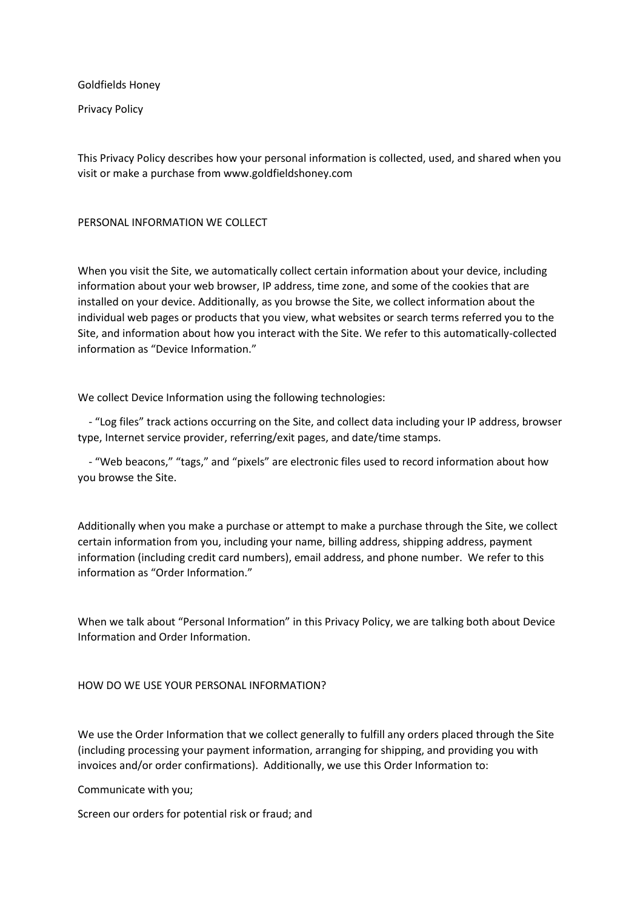Goldfields Honey

Privacy Policy

This Privacy Policy describes how your personal information is collected, used, and shared when you visit or make a purchase from www.goldfieldshoney.com

#### PERSONAL INFORMATION WE COLLECT

When you visit the Site, we automatically collect certain information about your device, including information about your web browser, IP address, time zone, and some of the cookies that are installed on your device. Additionally, as you browse the Site, we collect information about the individual web pages or products that you view, what websites or search terms referred you to the Site, and information about how you interact with the Site. We refer to this automatically-collected information as "Device Information."

We collect Device Information using the following technologies:

 - "Log files" track actions occurring on the Site, and collect data including your IP address, browser type, Internet service provider, referring/exit pages, and date/time stamps.

 - "Web beacons," "tags," and "pixels" are electronic files used to record information about how you browse the Site.

Additionally when you make a purchase or attempt to make a purchase through the Site, we collect certain information from you, including your name, billing address, shipping address, payment information (including credit card numbers), email address, and phone number. We refer to this information as "Order Information."

When we talk about "Personal Information" in this Privacy Policy, we are talking both about Device Information and Order Information.

HOW DO WE USE YOUR PERSONAL INFORMATION?

We use the Order Information that we collect generally to fulfill any orders placed through the Site (including processing your payment information, arranging for shipping, and providing you with invoices and/or order confirmations). Additionally, we use this Order Information to:

Communicate with you;

Screen our orders for potential risk or fraud; and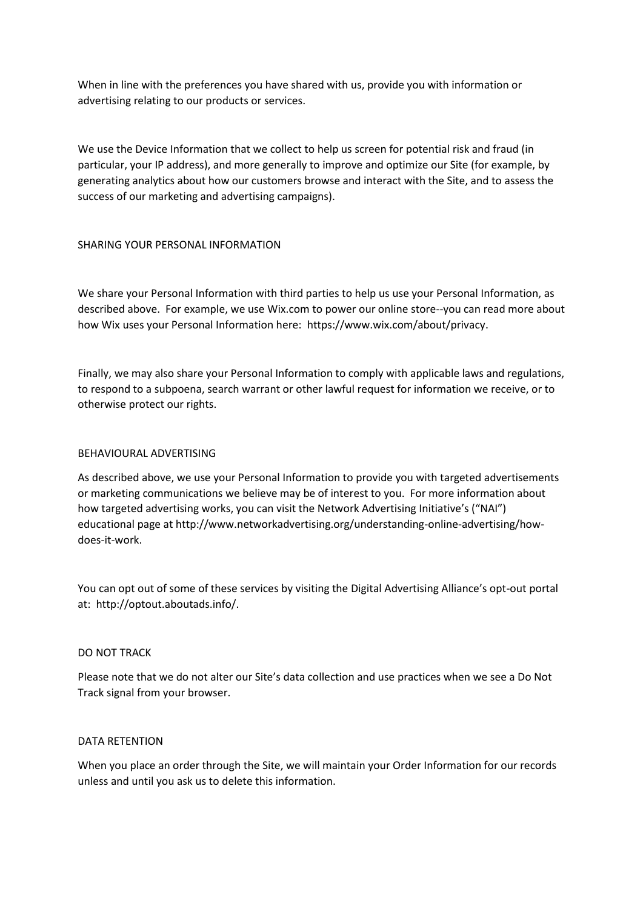When in line with the preferences you have shared with us, provide you with information or advertising relating to our products or services.

We use the Device Information that we collect to help us screen for potential risk and fraud (in particular, your IP address), and more generally to improve and optimize our Site (for example, by generating analytics about how our customers browse and interact with the Site, and to assess the success of our marketing and advertising campaigns).

## SHARING YOUR PERSONAL INFORMATION

We share your Personal Information with third parties to help us use your Personal Information, as described above. For example, we use Wix.com to power our online store--you can read more about how Wix uses your Personal Information here: https://www.wix.com/about/privacy.

Finally, we may also share your Personal Information to comply with applicable laws and regulations, to respond to a subpoena, search warrant or other lawful request for information we receive, or to otherwise protect our rights.

### BEHAVIOURAL ADVERTISING

As described above, we use your Personal Information to provide you with targeted advertisements or marketing communications we believe may be of interest to you. For more information about how targeted advertising works, you can visit the Network Advertising Initiative's ("NAI") educational page at http://www.networkadvertising.org/understanding-online-advertising/howdoes-it-work.

You can opt out of some of these services by visiting the Digital Advertising Alliance's opt-out portal at: http://optout.aboutads.info/.

#### DO NOT TRACK

Please note that we do not alter our Site's data collection and use practices when we see a Do Not Track signal from your browser.

#### DATA RETENTION

When you place an order through the Site, we will maintain your Order Information for our records unless and until you ask us to delete this information.